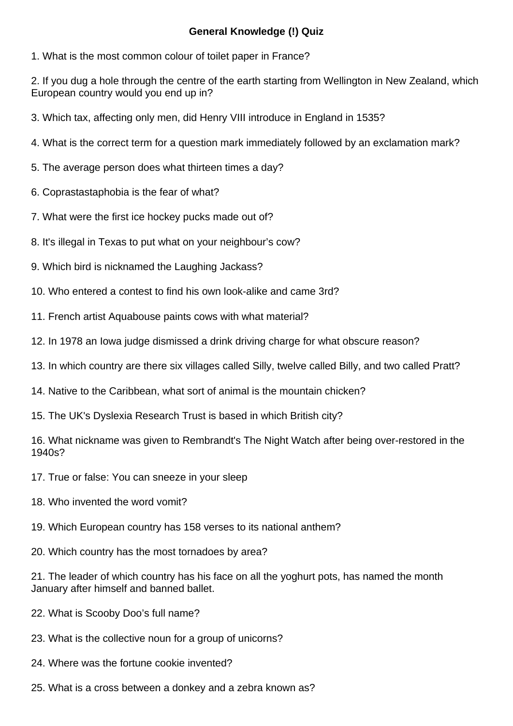## **General Knowledge (!) Quiz**

1. What is the most common colour of toilet paper in France?

2. If you dug a hole through the centre of the earth starting from Wellington in New Zealand, which European country would you end up in?

- 3. Which tax, affecting only men, did Henry VIII introduce in England in 1535?
- 4. What is the correct term for a question mark immediately followed by an exclamation mark?
- 5. The average person does what thirteen times a day?
- 6. Coprastastaphobia is the fear of what?
- 7. What were the first ice hockey pucks made out of?
- 8. It's illegal in Texas to put what on your neighbour's cow?
- 9. Which bird is nicknamed the Laughing Jackass?
- 10. Who entered a contest to find his own look-alike and came 3rd?
- 11. French artist Aquabouse paints cows with what material?
- 12. In 1978 an Iowa judge dismissed a drink driving charge for what obscure reason?
- 13. In which country are there six villages called Silly, twelve called Billy, and two called Pratt?
- 14. Native to the Caribbean, what sort of animal is the mountain chicken?
- 15. The UK's Dyslexia Research Trust is based in which British city?

16. What nickname was given to Rembrandt's The Night Watch after being over-restored in the 1940s?

- 17. True or false: You can sneeze in your sleep
- 18. Who invented the word vomit?
- 19. Which European country has 158 verses to its national anthem?
- 20. Which country has the most tornadoes by area?

21. The leader of which country has his face on all the yoghurt pots, has named the month January after himself and banned ballet.

- 22. What is Scooby Doo's full name?
- 23. What is the collective noun for a group of unicorns?
- 24. Where was the fortune cookie invented?
- 25. What is a cross between a donkey and a zebra known as?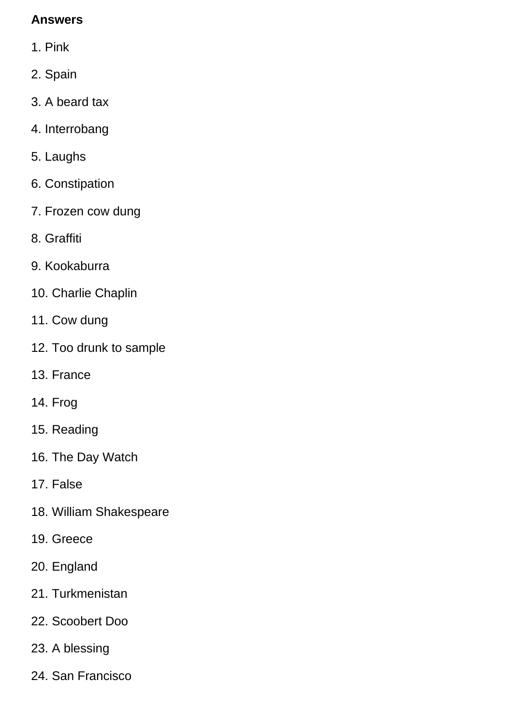## **Answers**

- 1. Pink
- 2. Spain
- 3. A beard tax
- 4. Interrobang
- 5. Laughs
- 6. Constipation
- 7. Frozen cow dung
- 8. Graffiti
- 9. Kookaburra
- 10. Charlie Chaplin
- 11. Cow dung
- 12. Too drunk to sample
- 13. France
- 14. Frog
- 15. Reading
- 16. The Day Watch
- 17. False
- 18. William Shakespeare
- 19. Greece
- 20. England
- 21. Turkmenistan
- 22. Scoobert Doo
- 23. A blessing
- 24. San Francisco